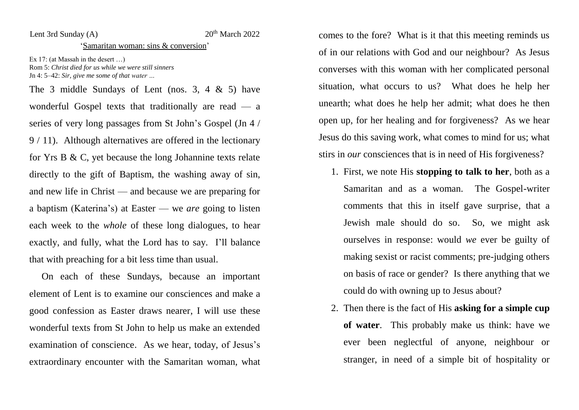## Lent 3rd Sunday  $(A)$  20<sup>th</sup> March 2022

## 'Samaritan woman: sins & conversion'

Ex 17: (at Massah in the desert …) Rom 5: *Christ died for us while we were still sinners* Jn 4: 5–42: *Sir, give me some of that water …*

The 3 middle Sundays of Lent (nos. 3, 4  $&$  5) have wonderful Gospel texts that traditionally are read — a series of very long passages from St John's Gospel (Jn 4 / 9 / 11). Although alternatives are offered in the lectionary for Yrs B & C, yet because the long Johannine texts relate directly to the gift of Baptism, the washing away of sin, and new life in Christ — and because we are preparing for a baptism (Katerina's) at Easter — we *are* going to listen each week to the *whole* of these long dialogues, to hear exactly, and fully, what the Lord has to say. I'll balance that with preaching for a bit less time than usual.

On each of these Sundays, because an important element of Lent is to examine our consciences and make a good confession as Easter draws nearer, I will use these wonderful texts from St John to help us make an extended examination of conscience. As we hear, today, of Jesus's extraordinary encounter with the Samaritan woman, what comes to the fore? What is it that this meeting reminds us of in our relations with God and our neighbour? As Jesus converses with this woman with her complicated personal situation, what occurs to us? What does he help her unearth; what does he help her admit; what does he then open up, for her healing and for forgiveness? As we hear Jesus do this saving work, what comes to mind for us; what stirs in *our* consciences that is in need of His forgiveness?

- 1. First, we note His **stopping to talk to her**, both as a Samaritan and as a woman. The Gospel-writer comments that this in itself gave surprise, that a Jewish male should do so. So, we might ask ourselves in response: would *we* ever be guilty of making sexist or racist comments; pre-judging others on basis of race or gender? Is there anything that we could do with owning up to Jesus about?
- 2. Then there is the fact of His **asking for a simple cup of water**. This probably make us think: have we ever been neglectful of anyone, neighbour or stranger, in need of a simple bit of hospitality or